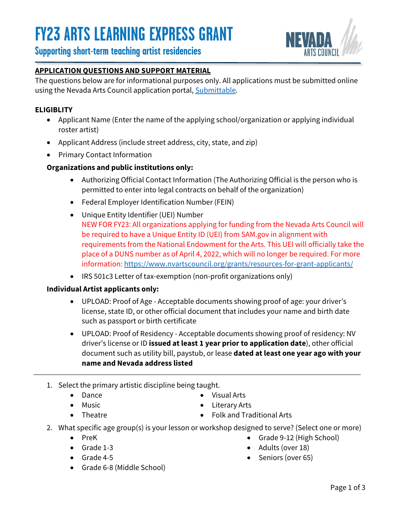

### **Supporting short-term teaching artist residencies**

### **APPLICATION QUESTIONS AND SUPPORT MATERIAL**

The questions below are for informational purposes only. All applications must be submitted online using the Nevada Arts Council application portal[, Submittable.](https://nevadaartscouncil.submittable.com/submit)

### **ELIGIBLITY**

- Applicant Name (Enter the name of the applying school/organization or applying individual roster artist)
- Applicant Address (include street address, city, state, and zip)
- Primary Contact Information

### **Organizations and public institutions only:**

- Authorizing Official Contact Information (The Authorizing Official is the person who is permitted to enter into legal contracts on behalf of the organization)
- Federal Employer Identification Number (FEIN)
- Unique Entity Identifier (UEI) Number NEW FOR FY23: All organizations applying for funding from the Nevada Arts Council will be required to have a Unique Entity ID (UEI) from SAM.gov in alignment with requirements from the National Endowment for the Arts. This UEI will officially take the place of a DUNS number as of April 4, 2022, which will no longer be required. For more information:<https://www.nvartscouncil.org/grants/resources-for-grant-applicants/>
- IRS 501c3 Letter of tax-exemption (non-profit organizations only)

### **Individual Artist applicants only:**

- UPLOAD: Proof of Age Acceptable documents showing proof of age: your driver's license, state ID, or other official document that includes your name and birth date such as passport or birth certificate
- UPLOAD: Proof of Residency Acceptable documents showing proof of residency: NV driver's license or ID **issued at least 1 year prior to application date**), other official document such as utility bill, paystub, or lease **dated at least one year ago with your name and Nevada address listed**
- 1. Select the primary artistic discipline being taught.
	- Dance • Music

• Theatre

- Visual Arts
- Literary Arts
- Folk and Traditional Arts
- 2. What specific age group(s) is your lesson or workshop designed to serve? (Select one or more)
	- PreK
	- Grade 1-3
	- Grade 4-5
	- Grade 6-8 (Middle School)
- - Grade 9-12 (High School) • Adults (over 18)
	- Seniors (over 65)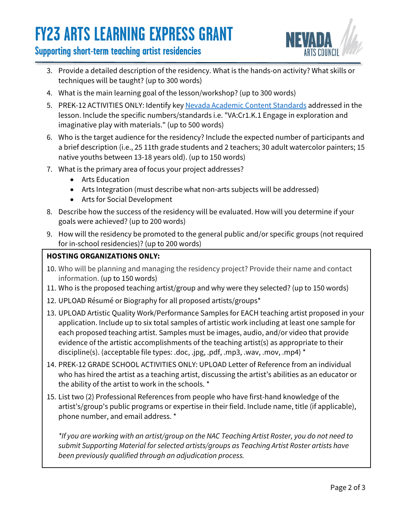# **FY23 ARTS LEARNING EXPRESS GRANT**

## **Supporting short-term teaching artist residencies**



- 3. Provide a detailed description of the residency. What is the hands-on activity? What skills or techniques will be taught? (up to 300 words)
- 4. What is the main learning goal of the lesson/workshop? (up to 300 words)
- 5. PREK-12 ACTIVITIES ONLY: Identify key [Nevada Academic Content Standards](https://doe.nv.gov/Nevada_Academic_Standards/Fine_Arts/) addressed in the lesson. Include the specific numbers/standards i.e. "VA:Cr1.K.1 Engage in exploration and imaginative play with materials." (up to 500 words)
- 6. Who is the target audience for the residency? Include the expected number of participants and a brief description (i.e., 25 11th grade students and 2 teachers; 30 adult watercolor painters; 15 native youths between 13-18 years old). (up to 150 words)
- 7. What is the primary area of focus your project addresses?
	- Arts Education
	- Arts Integration (must describe what non-arts subjects will be addressed)
	- Arts for Social Development
- 8. Describe how the success of the residency will be evaluated. How will you determine if your goals were achieved? (up to 200 words)
- 9. How will the residency be promoted to the general public and/or specific groups (not required for in-school residencies)? (up to 200 words)

### **HOSTING ORGANIZATIONS ONLY:**

- 10. Who will be planning and managing the residency project? Provide their name and contact information. (up to 150 words)
- 11. Who is the proposed teaching artist/group and why were they selected? (up to 150 words)
- 12. UPLOAD Résumé or Biography for all proposed artists/groups\*
- 13. UPLOAD Artistic Quality Work/Performance Samples for EACH teaching artist proposed in your application. Include up to six total samples of artistic work including at least one sample for each proposed teaching artist. Samples must be images, audio, and/or video that provide evidence of the artistic accomplishments of the teaching artist(s) as appropriate to their discipline(s). (acceptable file types: .doc, .jpg, .pdf, .mp3, .wav, .mov, .mp4) \*
- 14. PREK-12 GRADE SCHOOL ACTIVITIES ONLY: UPLOAD Letter of Reference from an individual who has hired the artist as a teaching artist, discussing the artist's abilities as an educator or the ability of the artist to work in the schools. \*
- 15. List two (2) Professional References from people who have first-hand knowledge of the artist's/group's public programs or expertise in their field. Include name, title (if applicable), phone number, and email address. \*

*\*If you are working with an artist/group on the NAC Teaching Artist Roster, you do not need to submit Supporting Material for selected artists/groups as Teaching Artist Roster artists have been previously qualified through an adjudication process.*